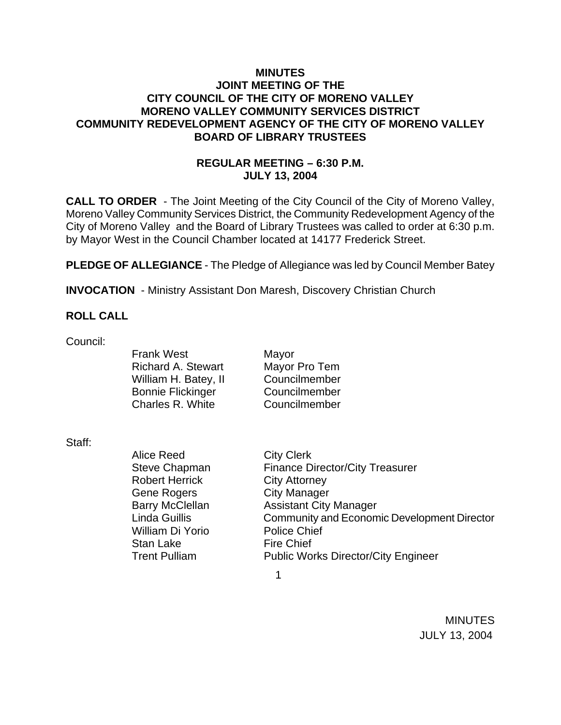### **MINUTES JOINT MEETING OF THE CITY COUNCIL OF THE CITY OF MORENO VALLEY MORENO VALLEY COMMUNITY SERVICES DISTRICT COMMUNITY REDEVELOPMENT AGENCY OF THE CITY OF MORENO VALLEY BOARD OF LIBRARY TRUSTEES**

## **REGULAR MEETING – 6:30 P.M. JULY 13, 2004**

**CALL TO ORDER** - The Joint Meeting of the City Council of the City of Moreno Valley, Moreno Valley Community Services District, the Community Redevelopment Agency of the City of Moreno Valley and the Board of Library Trustees was called to order at 6:30 p.m. by Mayor West in the Council Chamber located at 14177 Frederick Street.

**PLEDGE OF ALLEGIANCE** - The Pledge of Allegiance was led by Council Member Batey

**INVOCATION** - Ministry Assistant Don Maresh, Discovery Christian Church

#### **ROLL CALL**

Council:

Frank West Mayor Richard A. Stewart Mayor Pro Tem William H. Batev, II Councilmember Bonnie Flickinger Councilmember Charles R. White Councilmember

Staff:

Alice Reed City Clerk Steve Chapman Finance Director/City Treasurer Robert Herrick City Attorney Gene Rogers City Manager Barry McClellan **Assistant City Manager** Linda Guillis Community and Economic Development Director William Di Yorio Police Chief Stan Lake Fire Chief Trent Pulliam Public Works Director/City Engineer

 $\sim$  1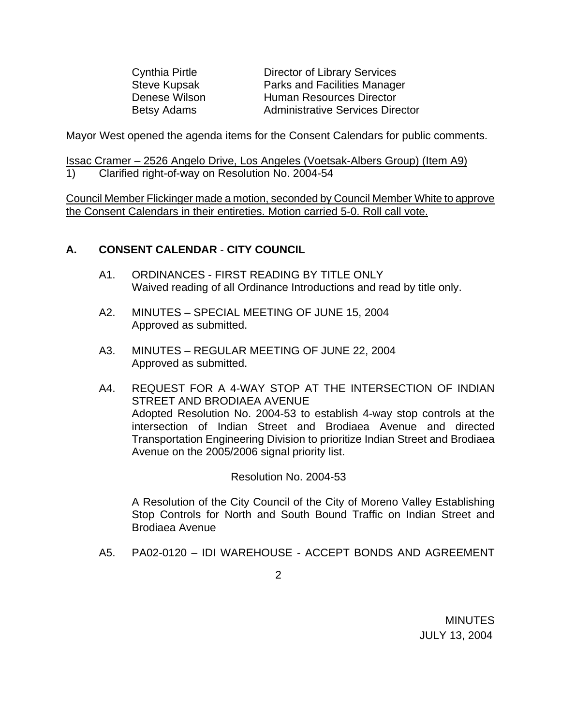Cynthia Pirtle Director of Library Services Steve Kupsak **Parks and Facilities Manager** Denese Wilson **Human Resources Director** Betsy Adams **Administrative Services Director** 

Mayor West opened the agenda items for the Consent Calendars for public comments.

Issac Cramer – 2526 Angelo Drive, Los Angeles (Voetsak-Albers Group) (Item A9) 1) Clarified right-of-way on Resolution No. 2004-54

Council Member Flickinger made a motion, seconded by Council Member White to approve the Consent Calendars in their entireties. Motion carried 5-0. Roll call vote.

#### **A. CONSENT CALENDAR** - **CITY COUNCIL**

- A1. ORDINANCES FIRST READING BY TITLE ONLY Waived reading of all Ordinance Introductions and read by title only.
- A2. MINUTES SPECIAL MEETING OF JUNE 15, 2004 Approved as submitted.
- A3. MINUTES REGULAR MEETING OF JUNE 22, 2004 Approved as submitted.
- A4. REQUEST FOR A 4-WAY STOP AT THE INTERSECTION OF INDIAN STREET AND BRODIAEA AVENUE Adopted Resolution No. 2004-53 to establish 4-way stop controls at the intersection of Indian Street and Brodiaea Avenue and directed Transportation Engineering Division to prioritize Indian Street and Brodiaea Avenue on the 2005/2006 signal priority list.

Resolution No. 2004-53

A Resolution of the City Council of the City of Moreno Valley Establishing Stop Controls for North and South Bound Traffic on Indian Street and Brodiaea Avenue

A5. PA02-0120 – IDI WAREHOUSE - ACCEPT BONDS AND AGREEMENT

2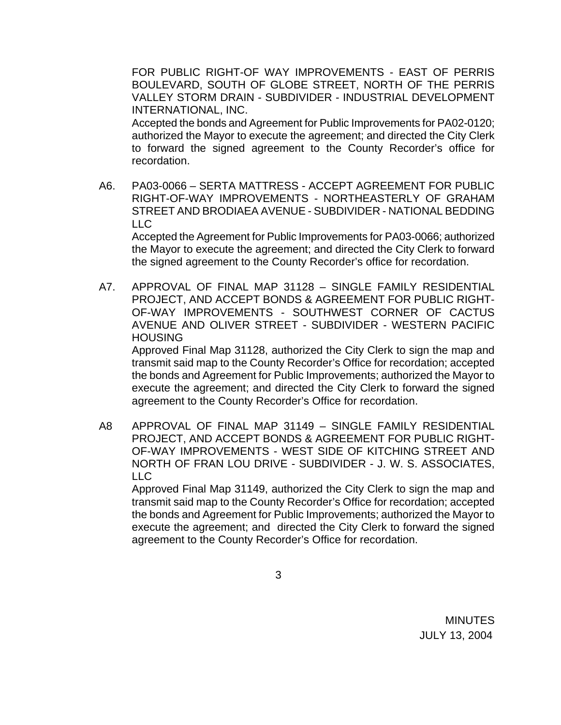FOR PUBLIC RIGHT-OF WAY IMPROVEMENTS - EAST OF PERRIS BOULEVARD, SOUTH OF GLOBE STREET, NORTH OF THE PERRIS VALLEY STORM DRAIN - SUBDIVIDER - INDUSTRIAL DEVELOPMENT INTERNATIONAL, INC.

 Accepted the bonds and Agreement for Public Improvements for PA02-0120; authorized the Mayor to execute the agreement; and directed the City Clerk to forward the signed agreement to the County Recorder's office for recordation.

A6. PA03-0066 – SERTA MATTRESS - ACCEPT AGREEMENT FOR PUBLIC RIGHT-OF-WAY IMPROVEMENTS - NORTHEASTERLY OF GRAHAM STREET AND BRODIAEA AVENUE - SUBDIVIDER - NATIONAL BEDDING LLC

 Accepted the Agreement for Public Improvements for PA03-0066; authorized the Mayor to execute the agreement; and directed the City Clerk to forward the signed agreement to the County Recorder's office for recordation.

A7. APPROVAL OF FINAL MAP 31128 – SINGLE FAMILY RESIDENTIAL PROJECT, AND ACCEPT BONDS & AGREEMENT FOR PUBLIC RIGHT-OF-WAY IMPROVEMENTS - SOUTHWEST CORNER OF CACTUS AVENUE AND OLIVER STREET - SUBDIVIDER - WESTERN PACIFIC **HOUSING** 

 Approved Final Map 31128, authorized the City Clerk to sign the map and transmit said map to the County Recorder's Office for recordation; accepted the bonds and Agreement for Public Improvements; authorized the Mayor to execute the agreement; and directed the City Clerk to forward the signed agreement to the County Recorder's Office for recordation.

A8 APPROVAL OF FINAL MAP 31149 – SINGLE FAMILY RESIDENTIAL PROJECT, AND ACCEPT BONDS & AGREEMENT FOR PUBLIC RIGHT-OF-WAY IMPROVEMENTS - WEST SIDE OF KITCHING STREET AND NORTH OF FRAN LOU DRIVE - SUBDIVIDER - J. W. S. ASSOCIATES, LLC

 Approved Final Map 31149, authorized the City Clerk to sign the map and transmit said map to the County Recorder's Office for recordation; accepted the bonds and Agreement for Public Improvements; authorized the Mayor to execute the agreement; and directed the City Clerk to forward the signed agreement to the County Recorder's Office for recordation.

3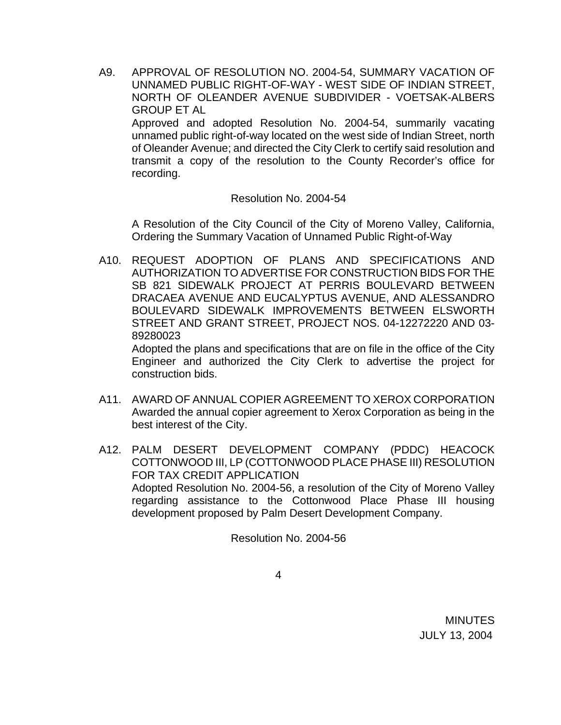A9. APPROVAL OF RESOLUTION NO. 2004-54, SUMMARY VACATION OF UNNAMED PUBLIC RIGHT-OF-WAY - WEST SIDE OF INDIAN STREET, NORTH OF OLEANDER AVENUE SUBDIVIDER - VOETSAK-ALBERS GROUP ET AL Approved and adopted Resolution No. 2004-54, summarily vacating

unnamed public right-of-way located on the west side of Indian Street, north of Oleander Avenue; and directed the City Clerk to certify said resolution and transmit a copy of the resolution to the County Recorder's office for recording.

#### Resolution No. 2004-54

 A Resolution of the City Council of the City of Moreno Valley, California, Ordering the Summary Vacation of Unnamed Public Right-of-Way

A10. REQUEST ADOPTION OF PLANS AND SPECIFICATIONS AND AUTHORIZATION TO ADVERTISE FOR CONSTRUCTION BIDS FOR THE SB 821 SIDEWALK PROJECT AT PERRIS BOULEVARD BETWEEN DRACAEA AVENUE AND EUCALYPTUS AVENUE, AND ALESSANDRO BOULEVARD SIDEWALK IMPROVEMENTS BETWEEN ELSWORTH STREET AND GRANT STREET, PROJECT NOS. 04-12272220 AND 03- 89280023

Adopted the plans and specifications that are on file in the office of the City Engineer and authorized the City Clerk to advertise the project for construction bids.

- A11. AWARD OF ANNUAL COPIER AGREEMENT TO XEROX CORPORATION Awarded the annual copier agreement to Xerox Corporation as being in the best interest of the City.
- A12. PALM DESERT DEVELOPMENT COMPANY (PDDC) HEACOCK COTTONWOOD III, LP (COTTONWOOD PLACE PHASE III) RESOLUTION FOR TAX CREDIT APPLICATION Adopted Resolution No. 2004-56, a resolution of the City of Moreno Valley regarding assistance to the Cottonwood Place Phase III housing development proposed by Palm Desert Development Company.

Resolution No. 2004-56

4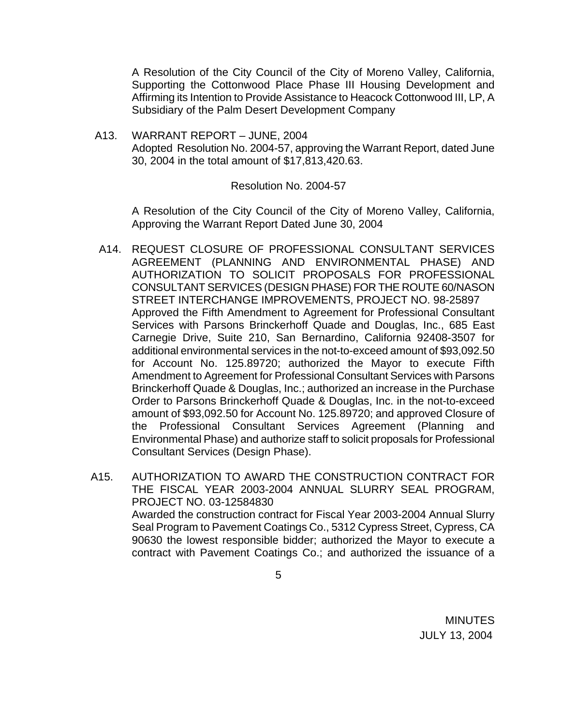A Resolution of the City Council of the City of Moreno Valley, California, Supporting the Cottonwood Place Phase III Housing Development and Affirming its Intention to Provide Assistance to Heacock Cottonwood III, LP, A Subsidiary of the Palm Desert Development Company

A13. WARRANT REPORT – JUNE, 2004 Adopted Resolution No. 2004-57, approving the Warrant Report, dated June 30, 2004 in the total amount of \$17,813,420.63.

#### Resolution No. 2004-57

 A Resolution of the City Council of the City of Moreno Valley, California, Approving the Warrant Report Dated June 30, 2004

- A14. REQUEST CLOSURE OF PROFESSIONAL CONSULTANT SERVICES AGREEMENT (PLANNING AND ENVIRONMENTAL PHASE) AND AUTHORIZATION TO SOLICIT PROPOSALS FOR PROFESSIONAL CONSULTANT SERVICES (DESIGN PHASE) FOR THE ROUTE 60/NASON STREET INTERCHANGE IMPROVEMENTS, PROJECT NO. 98-25897 Approved the Fifth Amendment to Agreement for Professional Consultant Services with Parsons Brinckerhoff Quade and Douglas, Inc., 685 East Carnegie Drive, Suite 210, San Bernardino, California 92408-3507 for additional environmental services in the not-to-exceed amount of \$93,092.50 for Account No. 125.89720; authorized the Mayor to execute Fifth Amendment to Agreement for Professional Consultant Services with Parsons Brinckerhoff Quade & Douglas, Inc.; authorized an increase in the Purchase Order to Parsons Brinckerhoff Quade & Douglas, Inc. in the not-to-exceed amount of \$93,092.50 for Account No. 125.89720; and approved Closure of the Professional Consultant Services Agreement (Planning and Environmental Phase) and authorize staff to solicit proposals for Professional Consultant Services (Design Phase).
- A15. AUTHORIZATION TO AWARD THE CONSTRUCTION CONTRACT FOR THE FISCAL YEAR 2003-2004 ANNUAL SLURRY SEAL PROGRAM, PROJECT NO. 03-12584830 Awarded the construction contract for Fiscal Year 2003-2004 Annual Slurry Seal Program to Pavement Coatings Co., 5312 Cypress Street, Cypress, CA 90630 the lowest responsible bidder; authorized the Mayor to execute a contract with Pavement Coatings Co.; and authorized the issuance of a

 $\sim$  5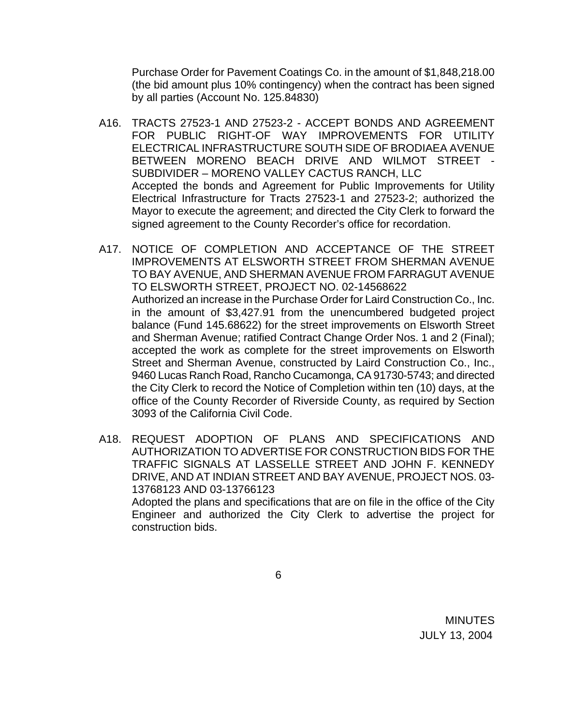Purchase Order for Pavement Coatings Co. in the amount of \$1,848,218.00 (the bid amount plus 10% contingency) when the contract has been signed by all parties (Account No. 125.84830)

- A16. TRACTS 27523-1 AND 27523-2 ACCEPT BONDS AND AGREEMENT FOR PUBLIC RIGHT-OF WAY IMPROVEMENTS FOR UTILITY ELECTRICAL INFRASTRUCTURE SOUTH SIDE OF BRODIAEA AVENUE BETWEEN MORENO BEACH DRIVE AND WILMOT STREET - SUBDIVIDER – MORENO VALLEY CACTUS RANCH, LLC Accepted the bonds and Agreement for Public Improvements for Utility Electrical Infrastructure for Tracts 27523-1 and 27523-2; authorized the Mayor to execute the agreement; and directed the City Clerk to forward the signed agreement to the County Recorder's office for recordation.
- A17. NOTICE OF COMPLETION AND ACCEPTANCE OF THE STREET IMPROVEMENTS AT ELSWORTH STREET FROM SHERMAN AVENUE TO BAY AVENUE, AND SHERMAN AVENUE FROM FARRAGUT AVENUE TO ELSWORTH STREET, PROJECT NO. 02-14568622 Authorized an increase in the Purchase Order for Laird Construction Co., Inc. in the amount of \$3,427.91 from the unencumbered budgeted project balance (Fund 145.68622) for the street improvements on Elsworth Street and Sherman Avenue; ratified Contract Change Order Nos. 1 and 2 (Final); accepted the work as complete for the street improvements on Elsworth Street and Sherman Avenue, constructed by Laird Construction Co., Inc., 9460 Lucas Ranch Road, Rancho Cucamonga, CA 91730-5743; and directed the City Clerk to record the Notice of Completion within ten (10) days, at the office of the County Recorder of Riverside County, as required by Section 3093 of the California Civil Code.
- A18. REQUEST ADOPTION OF PLANS AND SPECIFICATIONS AND AUTHORIZATION TO ADVERTISE FOR CONSTRUCTION BIDS FOR THE TRAFFIC SIGNALS AT LASSELLE STREET AND JOHN F. KENNEDY DRIVE, AND AT INDIAN STREET AND BAY AVENUE, PROJECT NOS. 03- 13768123 AND 03-13766123 Adopted the plans and specifications that are on file in the office of the City

Engineer and authorized the City Clerk to advertise the project for construction bids.

 $\overline{6}$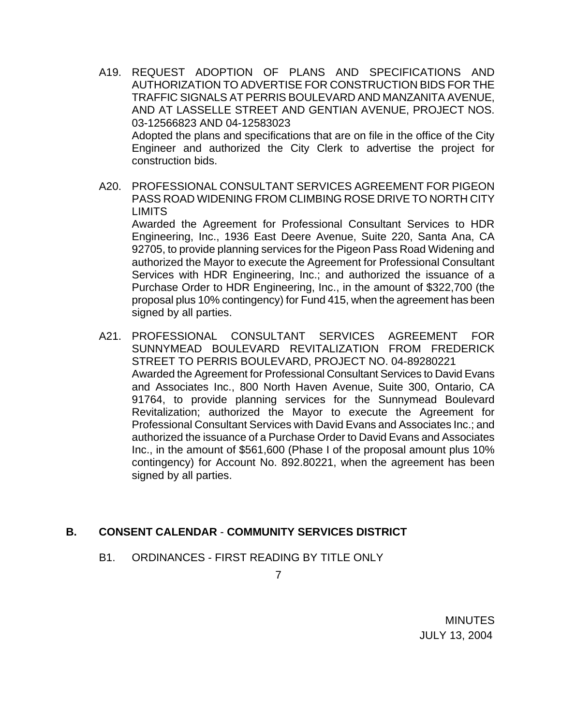- A19. REQUEST ADOPTION OF PLANS AND SPECIFICATIONS AND AUTHORIZATION TO ADVERTISE FOR CONSTRUCTION BIDS FOR THE TRAFFIC SIGNALS AT PERRIS BOULEVARD AND MANZANITA AVENUE, AND AT LASSELLE STREET AND GENTIAN AVENUE, PROJECT NOS. 03-12566823 AND 04-12583023 Adopted the plans and specifications that are on file in the office of the City Engineer and authorized the City Clerk to advertise the project for construction bids.
- A20. PROFESSIONAL CONSULTANT SERVICES AGREEMENT FOR PIGEON PASS ROAD WIDENING FROM CLIMBING ROSE DRIVE TO NORTH CITY LIMITS

 Awarded the Agreement for Professional Consultant Services to HDR Engineering, Inc., 1936 East Deere Avenue, Suite 220, Santa Ana, CA 92705, to provide planning services for the Pigeon Pass Road Widening and authorized the Mayor to execute the Agreement for Professional Consultant Services with HDR Engineering, Inc.; and authorized the issuance of a Purchase Order to HDR Engineering, Inc., in the amount of \$322,700 (the proposal plus 10% contingency) for Fund 415, when the agreement has been signed by all parties.

A21. PROFESSIONAL CONSULTANT SERVICES AGREEMENT FOR SUNNYMEAD BOULEVARD REVITALIZATION FROM FREDERICK STREET TO PERRIS BOULEVARD, PROJECT NO. 04-89280221 Awarded the Agreement for Professional Consultant Services to David Evans and Associates Inc., 800 North Haven Avenue, Suite 300, Ontario, CA 91764, to provide planning services for the Sunnymead Boulevard Revitalization; authorized the Mayor to execute the Agreement for Professional Consultant Services with David Evans and Associates Inc.; and authorized the issuance of a Purchase Order to David Evans and Associates Inc., in the amount of \$561,600 (Phase I of the proposal amount plus 10% contingency) for Account No. 892.80221, when the agreement has been signed by all parties.

#### **B. CONSENT CALENDAR** - **COMMUNITY SERVICES DISTRICT**

B1. ORDINANCES - FIRST READING BY TITLE ONLY

7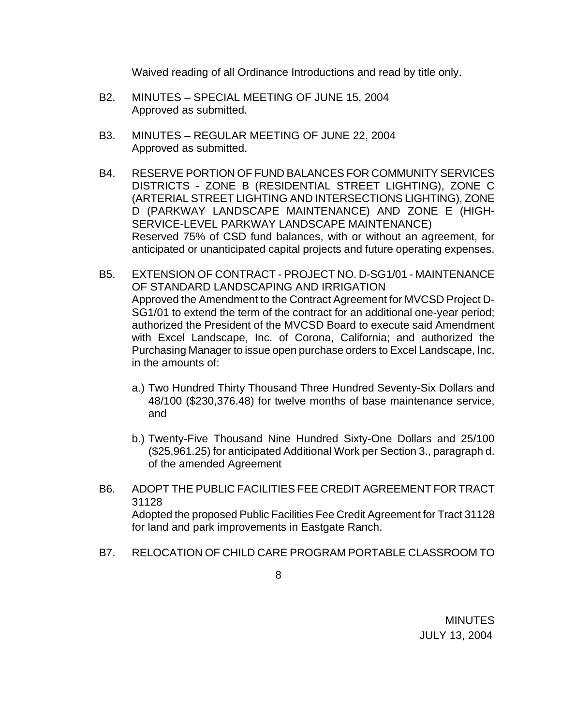Waived reading of all Ordinance Introductions and read by title only.

- B2. MINUTES SPECIAL MEETING OF JUNE 15, 2004 Approved as submitted.
- B3. MINUTES REGULAR MEETING OF JUNE 22, 2004 Approved as submitted.
- B4. RESERVE PORTION OF FUND BALANCES FOR COMMUNITY SERVICES DISTRICTS - ZONE B (RESIDENTIAL STREET LIGHTING), ZONE C (ARTERIAL STREET LIGHTING AND INTERSECTIONS LIGHTING), ZONE D (PARKWAY LANDSCAPE MAINTENANCE) AND ZONE E (HIGH-SERVICE-LEVEL PARKWAY LANDSCAPE MAINTENANCE) Reserved 75% of CSD fund balances, with or without an agreement, for anticipated or unanticipated capital projects and future operating expenses.
- B5. EXTENSION OF CONTRACT PROJECT NO. D-SG1/01 MAINTENANCE OF STANDARD LANDSCAPING AND IRRIGATION Approved the Amendment to the Contract Agreement for MVCSD Project D-SG1/01 to extend the term of the contract for an additional one-year period; authorized the President of the MVCSD Board to execute said Amendment with Excel Landscape, Inc. of Corona, California; and authorized the Purchasing Manager to issue open purchase orders to Excel Landscape, Inc. in the amounts of:
	- a.) Two Hundred Thirty Thousand Three Hundred Seventy-Six Dollars and 48/100 (\$230,376.48) for twelve months of base maintenance service, and
	- b.) Twenty-Five Thousand Nine Hundred Sixty-One Dollars and 25/100 (\$25,961.25) for anticipated Additional Work per Section 3., paragraph d. of the amended Agreement
- B6. ADOPT THE PUBLIC FACILITIES FEE CREDIT AGREEMENT FOR TRACT 31128 Adopted the proposed Public Facilities Fee Credit Agreement for Tract 31128 for land and park improvements in Eastgate Ranch.
- B7. RELOCATION OF CHILD CARE PROGRAM PORTABLE CLASSROOM TO
- 8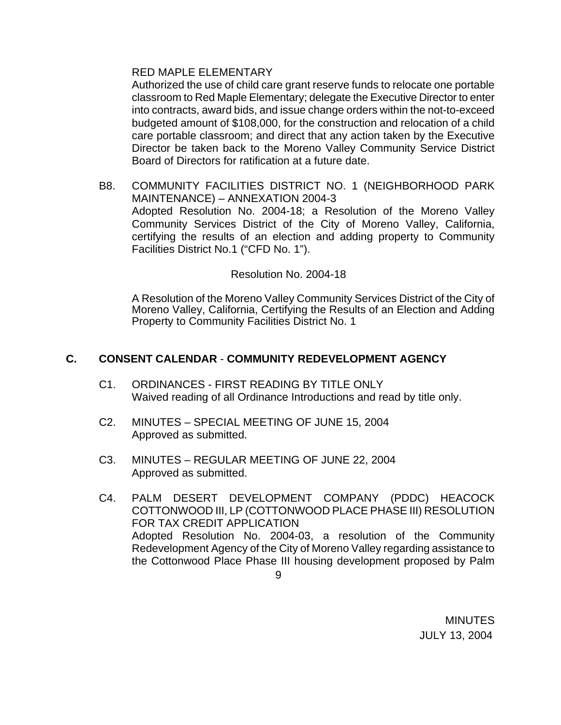#### RED MAPLE ELEMENTARY

 Authorized the use of child care grant reserve funds to relocate one portable classroom to Red Maple Elementary; delegate the Executive Director to enter into contracts, award bids, and issue change orders within the not-to-exceed budgeted amount of \$108,000, for the construction and relocation of a child care portable classroom; and direct that any action taken by the Executive Director be taken back to the Moreno Valley Community Service District Board of Directors for ratification at a future date.

B8. COMMUNITY FACILITIES DISTRICT NO. 1 (NEIGHBORHOOD PARK MAINTENANCE) – ANNEXATION 2004-3 Adopted Resolution No. 2004-18; a Resolution of the Moreno Valley Community Services District of the City of Moreno Valley, California, certifying the results of an election and adding property to Community Facilities District No.1 ("CFD No. 1").

#### Resolution No. 2004-18

A Resolution of the Moreno Valley Community Services District of the City of Moreno Valley, California, Certifying the Results of an Election and Adding Property to Community Facilities District No. 1

## **C. CONSENT CALENDAR** - **COMMUNITY REDEVELOPMENT AGENCY**

- C1. ORDINANCES FIRST READING BY TITLE ONLY Waived reading of all Ordinance Introductions and read by title only.
- C2. MINUTES SPECIAL MEETING OF JUNE 15, 2004 Approved as submitted.
- C3. MINUTES REGULAR MEETING OF JUNE 22, 2004 Approved as submitted.
- C4. PALM DESERT DEVELOPMENT COMPANY (PDDC) HEACOCK COTTONWOOD III, LP (COTTONWOOD PLACE PHASE III) RESOLUTION FOR TAX CREDIT APPLICATION Adopted Resolution No. 2004-03, a resolution of the Community Redevelopment Agency of the City of Moreno Valley regarding assistance to the Cottonwood Place Phase III housing development proposed by Palm

9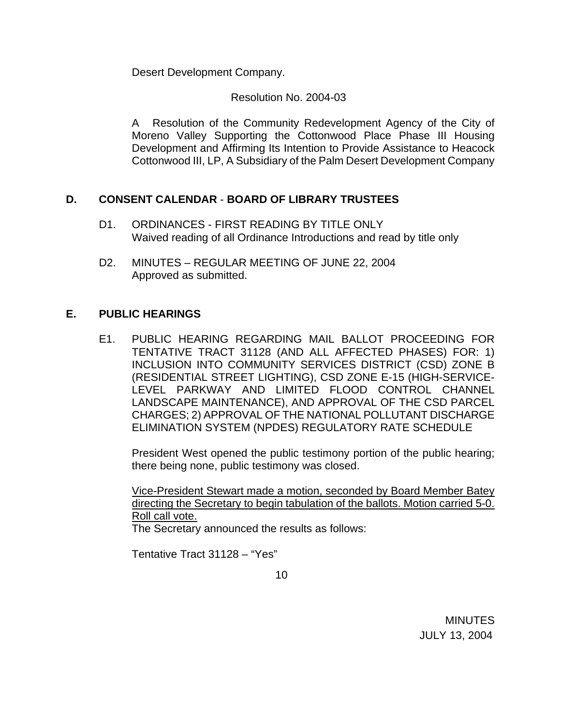Desert Development Company.

Resolution No. 2004-03

 A Resolution of the Community Redevelopment Agency of the City of Moreno Valley Supporting the Cottonwood Place Phase III Housing Development and Affirming Its Intention to Provide Assistance to Heacock Cottonwood III, LP, A Subsidiary of the Palm Desert Development Company

## **D. CONSENT CALENDAR** - **BOARD OF LIBRARY TRUSTEES**

- D1. ORDINANCES FIRST READING BY TITLE ONLY Waived reading of all Ordinance Introductions and read by title only
- D2. MINUTES REGULAR MEETING OF JUNE 22, 2004 Approved as submitted.

## **E. PUBLIC HEARINGS**

E1. PUBLIC HEARING REGARDING MAIL BALLOT PROCEEDING FOR TENTATIVE TRACT 31128 (AND ALL AFFECTED PHASES) FOR: 1) INCLUSION INTO COMMUNITY SERVICES DISTRICT (CSD) ZONE B (RESIDENTIAL STREET LIGHTING), CSD ZONE E-15 (HIGH-SERVICE-LEVEL PARKWAY AND LIMITED FLOOD CONTROL CHANNEL LANDSCAPE MAINTENANCE), AND APPROVAL OF THE CSD PARCEL CHARGES; 2) APPROVAL OF THE NATIONAL POLLUTANT DISCHARGE ELIMINATION SYSTEM (NPDES) REGULATORY RATE SCHEDULE

President West opened the public testimony portion of the public hearing; there being none, public testimony was closed.

 Vice-President Stewart made a motion, seconded by Board Member Batey directing the Secretary to begin tabulation of the ballots. Motion carried 5-0. Roll call vote.

The Secretary announced the results as follows:

Tentative Tract 31128 – "Yes"

<u>10</u>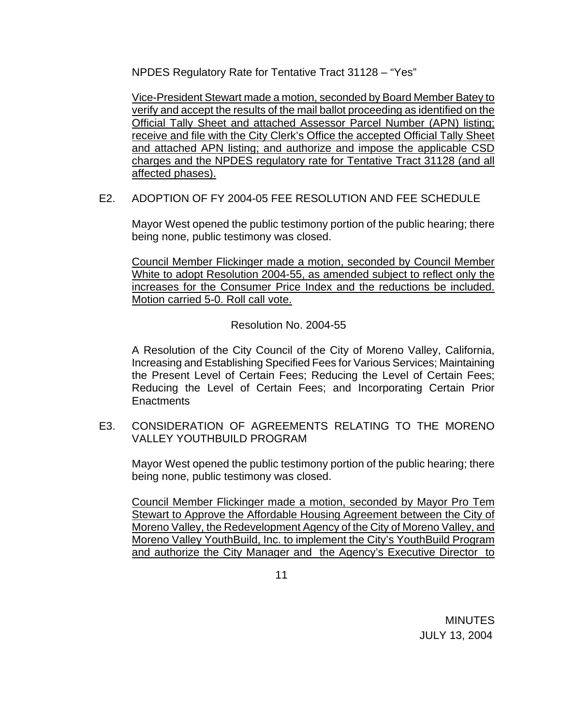NPDES Regulatory Rate for Tentative Tract 31128 – "Yes"

 Vice-President Stewart made a motion, seconded by Board Member Batey to verify and accept the results of the mail ballot proceeding as identified on the Official Tally Sheet and attached Assessor Parcel Number (APN) listing; receive and file with the City Clerk's Office the accepted Official Tally Sheet and attached APN listing; and authorize and impose the applicable CSD charges and the NPDES regulatory rate for Tentative Tract 31128 (and all affected phases).

## E2. ADOPTION OF FY 2004-05 FEE RESOLUTION AND FEE SCHEDULE

Mayor West opened the public testimony portion of the public hearing; there being none, public testimony was closed.

 Council Member Flickinger made a motion, seconded by Council Member White to adopt Resolution 2004-55, as amended subject to reflect only the increases for the Consumer Price Index and the reductions be included. Motion carried 5-0. Roll call vote.

Resolution No. 2004-55

 A Resolution of the City Council of the City of Moreno Valley, California, Increasing and Establishing Specified Fees for Various Services; Maintaining the Present Level of Certain Fees; Reducing the Level of Certain Fees; Reducing the Level of Certain Fees; and Incorporating Certain Prior **Enactments** 

E3. CONSIDERATION OF AGREEMENTS RELATING TO THE MORENO VALLEY YOUTHBUILD PROGRAM

Mayor West opened the public testimony portion of the public hearing; there being none, public testimony was closed.

Council Member Flickinger made a motion, seconded by Mayor Pro Tem Stewart to Approve the Affordable Housing Agreement between the City of Moreno Valley, the Redevelopment Agency of the City of Moreno Valley, and Moreno Valley YouthBuild, Inc. to implement the City's YouthBuild Program and authorize the City Manager and the Agency's Executive Director to

 $11$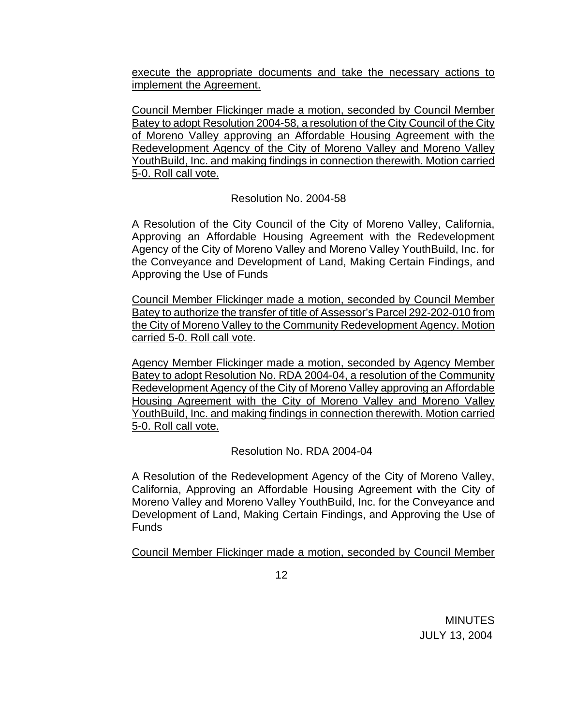execute the appropriate documents and take the necessary actions to implement the Agreement.

Council Member Flickinger made a motion, seconded by Council Member Batey to adopt Resolution 2004-58, a resolution of the City Council of the City of Moreno Valley approving an Affordable Housing Agreement with the Redevelopment Agency of the City of Moreno Valley and Moreno Valley YouthBuild, Inc. and making findings in connection therewith. Motion carried 5-0. Roll call vote.

Resolution No. 2004-58

A Resolution of the City Council of the City of Moreno Valley, California, Approving an Affordable Housing Agreement with the Redevelopment Agency of the City of Moreno Valley and Moreno Valley YouthBuild, Inc. for the Conveyance and Development of Land, Making Certain Findings, and Approving the Use of Funds

Council Member Flickinger made a motion, seconded by Council Member Batey to authorize the transfer of title of Assessor's Parcel 292-202-010 from the City of Moreno Valley to the Community Redevelopment Agency. Motion carried 5-0. Roll call vote.

Agency Member Flickinger made a motion, seconded by Agency Member Batey to adopt Resolution No. RDA 2004-04, a resolution of the Community Redevelopment Agency of the City of Moreno Valley approving an Affordable Housing Agreement with the City of Moreno Valley and Moreno Valley YouthBuild, Inc. and making findings in connection therewith. Motion carried 5-0. Roll call vote.

Resolution No. RDA 2004-04

 A Resolution of the Redevelopment Agency of the City of Moreno Valley, California, Approving an Affordable Housing Agreement with the City of Moreno Valley and Moreno Valley YouthBuild, Inc. for the Conveyance and Development of Land, Making Certain Findings, and Approving the Use of Funds

Council Member Flickinger made a motion, seconded by Council Member

 $12$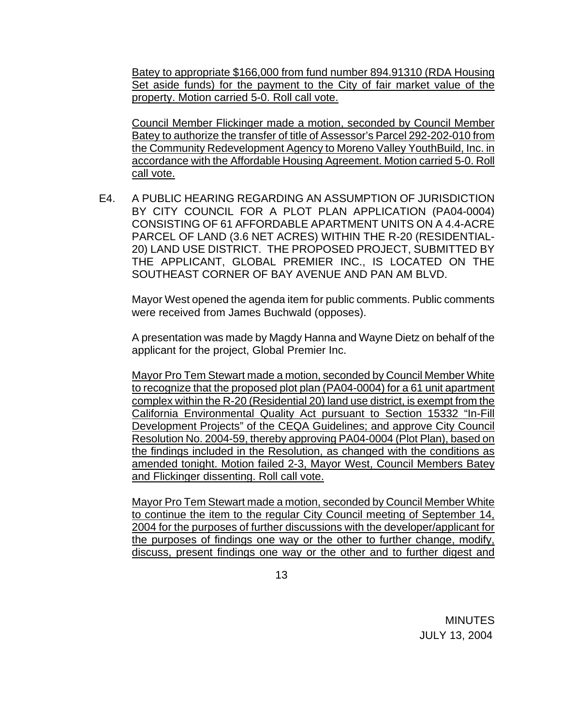Batey to appropriate \$166,000 from fund number 894.91310 (RDA Housing Set aside funds) for the payment to the City of fair market value of the property. Motion carried 5-0. Roll call vote.

Council Member Flickinger made a motion, seconded by Council Member Batey to authorize the transfer of title of Assessor's Parcel 292-202-010 from the Community Redevelopment Agency to Moreno Valley YouthBuild, Inc. in accordance with the Affordable Housing Agreement. Motion carried 5-0. Roll call vote.

E4. A PUBLIC HEARING REGARDING AN ASSUMPTION OF JURISDICTION BY CITY COUNCIL FOR A PLOT PLAN APPLICATION (PA04-0004) CONSISTING OF 61 AFFORDABLE APARTMENT UNITS ON A 4.4-ACRE PARCEL OF LAND (3.6 NET ACRES) WITHIN THE R-20 (RESIDENTIAL-20) LAND USE DISTRICT. THE PROPOSED PROJECT, SUBMITTED BY THE APPLICANT, GLOBAL PREMIER INC., IS LOCATED ON THE SOUTHEAST CORNER OF BAY AVENUE AND PAN AM BLVD.

 Mayor West opened the agenda item for public comments. Public comments were received from James Buchwald (opposes).

 A presentation was made by Magdy Hanna and Wayne Dietz on behalf of the applicant for the project, Global Premier Inc.

 Mayor Pro Tem Stewart made a motion, seconded by Council Member White to recognize that the proposed plot plan (PA04-0004) for a 61 unit apartment complex within the R-20 (Residential 20) land use district, is exempt from the California Environmental Quality Act pursuant to Section 15332 "In-Fill Development Projects" of the CEQA Guidelines; and approve City Council Resolution No. 2004-59, thereby approving PA04-0004 (Plot Plan), based on the findings included in the Resolution, as changed with the conditions as amended tonight. Motion failed 2-3, Mayor West, Council Members Batey and Flickinger dissenting. Roll call vote.

 Mayor Pro Tem Stewart made a motion, seconded by Council Member White to continue the item to the regular City Council meeting of September 14, 2004 for the purposes of further discussions with the developer/applicant for the purposes of findings one way or the other to further change, modify, discuss, present findings one way or the other and to further digest and

 $13$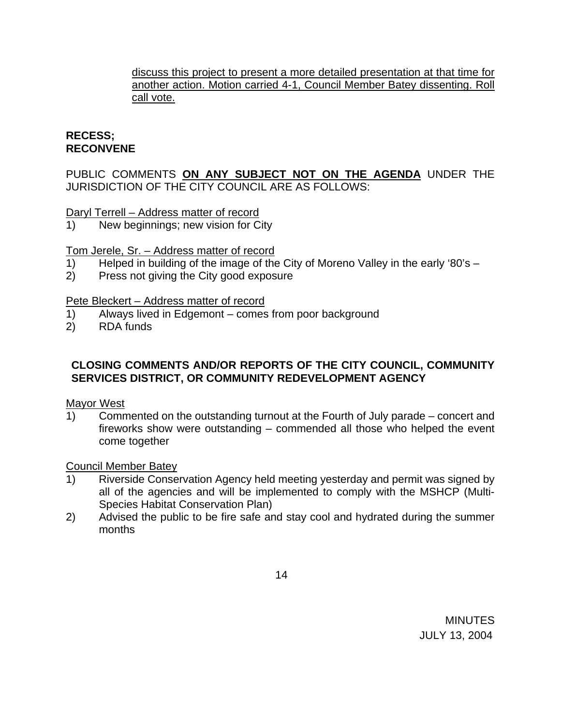discuss this project to present a more detailed presentation at that time for another action. Motion carried 4-1, Council Member Batey dissenting. Roll call vote.

## **RECESS; RECONVENE**

PUBLIC COMMENTS **ON ANY SUBJECT NOT ON THE AGENDA** UNDER THE JURISDICTION OF THE CITY COUNCIL ARE AS FOLLOWS:

Daryl Terrell – Address matter of record

1) New beginnings; new vision for City

Tom Jerele, Sr. – Address matter of record

- 1) Helped in building of the image of the City of Moreno Valley in the early '80's –
- 2) Press not giving the City good exposure

## Pete Bleckert – Address matter of record

- 1) Always lived in Edgemont comes from poor background
- 2) RDA funds

## **CLOSING COMMENTS AND/OR REPORTS OF THE CITY COUNCIL, COMMUNITY SERVICES DISTRICT, OR COMMUNITY REDEVELOPMENT AGENCY**

Mayor West

1) Commented on the outstanding turnout at the Fourth of July parade – concert and fireworks show were outstanding – commended all those who helped the event come together

#### Council Member Batey

- 1) Riverside Conservation Agency held meeting yesterday and permit was signed by all of the agencies and will be implemented to comply with the MSHCP (Multi-Species Habitat Conservation Plan)
- 2) Advised the public to be fire safe and stay cool and hydrated during the summer months

 $\sim$  14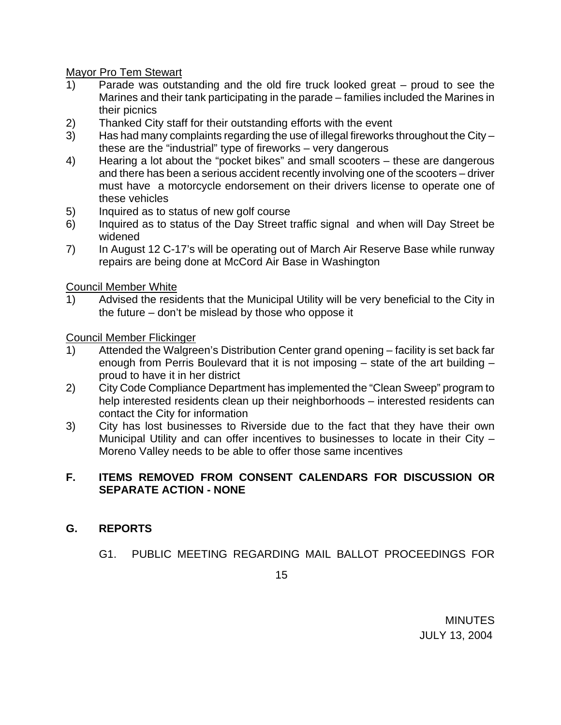Mayor Pro Tem Stewart

- 1) Parade was outstanding and the old fire truck looked great proud to see the Marines and their tank participating in the parade – families included the Marines in their picnics
- 2) Thanked City staff for their outstanding efforts with the event
- 3) Has had many complaints regarding the use of illegal fireworks throughout the City these are the "industrial" type of fireworks – very dangerous
- 4) Hearing a lot about the "pocket bikes" and small scooters these are dangerous and there has been a serious accident recently involving one of the scooters – driver must have a motorcycle endorsement on their drivers license to operate one of these vehicles
- 5) Inquired as to status of new golf course
- 6) Inquired as to status of the Day Street traffic signal and when will Day Street be widened
- 7) In August 12 C-17's will be operating out of March Air Reserve Base while runway repairs are being done at McCord Air Base in Washington

Council Member White

1) Advised the residents that the Municipal Utility will be very beneficial to the City in the future – don't be mislead by those who oppose it

Council Member Flickinger

- 1) Attended the Walgreen's Distribution Center grand opening facility is set back far enough from Perris Boulevard that it is not imposing – state of the art building – proud to have it in her district
- 2) City Code Compliance Department has implemented the "Clean Sweep" program to help interested residents clean up their neighborhoods – interested residents can contact the City for information
- 3) City has lost businesses to Riverside due to the fact that they have their own Municipal Utility and can offer incentives to businesses to locate in their City – Moreno Valley needs to be able to offer those same incentives

## **F. ITEMS REMOVED FROM CONSENT CALENDARS FOR DISCUSSION OR SEPARATE ACTION - NONE**

# **G. REPORTS**

G1. PUBLIC MEETING REGARDING MAIL BALLOT PROCEEDINGS FOR

 $15$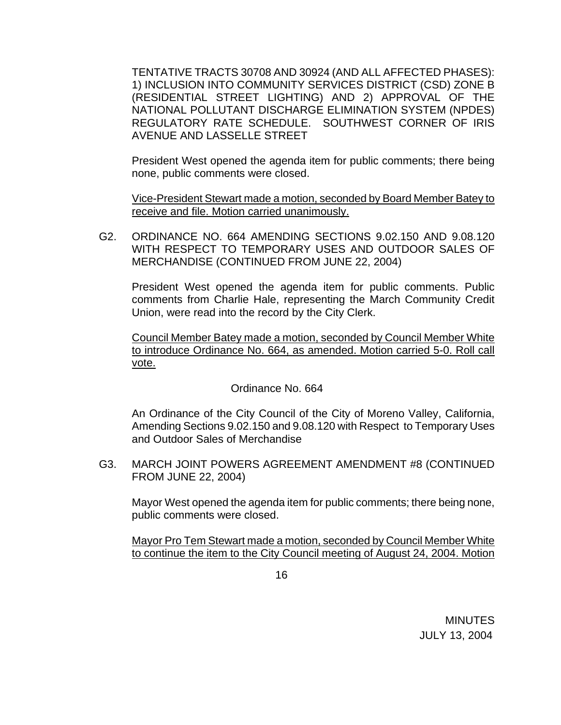TENTATIVE TRACTS 30708 AND 30924 (AND ALL AFFECTED PHASES): 1) INCLUSION INTO COMMUNITY SERVICES DISTRICT (CSD) ZONE B (RESIDENTIAL STREET LIGHTING) AND 2) APPROVAL OF THE NATIONAL POLLUTANT DISCHARGE ELIMINATION SYSTEM (NPDES) REGULATORY RATE SCHEDULE. SOUTHWEST CORNER OF IRIS AVENUE AND LASSELLE STREET

President West opened the agenda item for public comments; there being none, public comments were closed.

Vice-President Stewart made a motion, seconded by Board Member Batey to receive and file. Motion carried unanimously.

 G2. ORDINANCE NO. 664 AMENDING SECTIONS 9.02.150 AND 9.08.120 WITH RESPECT TO TEMPORARY USES AND OUTDOOR SALES OF MERCHANDISE (CONTINUED FROM JUNE 22, 2004)

President West opened the agenda item for public comments. Public comments from Charlie Hale, representing the March Community Credit Union, were read into the record by the City Clerk.

 Council Member Batey made a motion, seconded by Council Member White to introduce Ordinance No. 664, as amended. Motion carried 5-0. Roll call vote.

Ordinance No. 664

An Ordinance of the City Council of the City of Moreno Valley, California, Amending Sections 9.02.150 and 9.08.120 with Respect to Temporary Uses and Outdoor Sales of Merchandise

G3. MARCH JOINT POWERS AGREEMENT AMENDMENT #8 (CONTINUED FROM JUNE 22, 2004)

Mayor West opened the agenda item for public comments; there being none, public comments were closed.

Mayor Pro Tem Stewart made a motion, seconded by Council Member White to continue the item to the City Council meeting of August 24, 2004. Motion

 $16$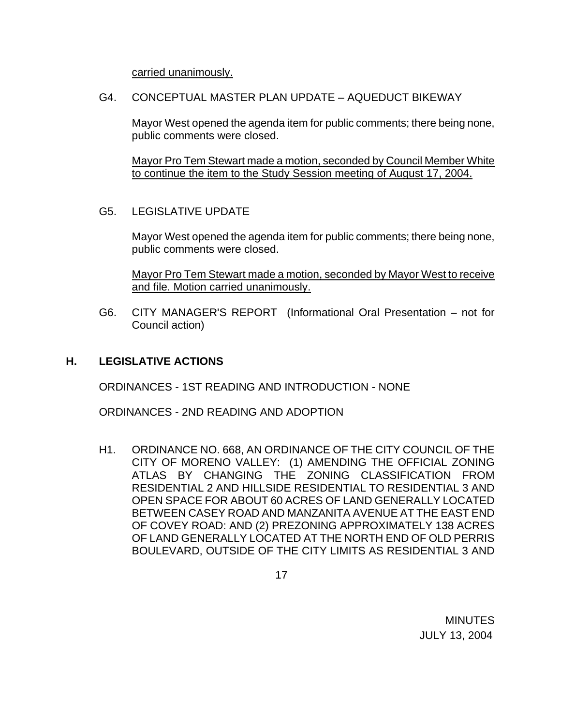carried unanimously.

G4. CONCEPTUAL MASTER PLAN UPDATE – AQUEDUCT BIKEWAY

Mayor West opened the agenda item for public comments; there being none, public comments were closed.

 Mayor Pro Tem Stewart made a motion, seconded by Council Member White to continue the item to the Study Session meeting of August 17, 2004.

G5. LEGISLATIVE UPDATE

Mayor West opened the agenda item for public comments; there being none, public comments were closed.

Mayor Pro Tem Stewart made a motion, seconded by Mayor West to receive and file. Motion carried unanimously.

 G6. CITY MANAGER'S REPORT (Informational Oral Presentation – not for Council action)

## **H. LEGISLATIVE ACTIONS**

ORDINANCES - 1ST READING AND INTRODUCTION - NONE

ORDINANCES - 2ND READING AND ADOPTION

 H1. ORDINANCE NO. 668, AN ORDINANCE OF THE CITY COUNCIL OF THE CITY OF MORENO VALLEY: (1) AMENDING THE OFFICIAL ZONING ATLAS BY CHANGING THE ZONING CLASSIFICATION FROM RESIDENTIAL 2 AND HILLSIDE RESIDENTIAL TO RESIDENTIAL 3 AND OPEN SPACE FOR ABOUT 60 ACRES OF LAND GENERALLY LOCATED BETWEEN CASEY ROAD AND MANZANITA AVENUE AT THE EAST END OF COVEY ROAD: AND (2) PREZONING APPROXIMATELY 138 ACRES OF LAND GENERALLY LOCATED AT THE NORTH END OF OLD PERRIS BOULEVARD, OUTSIDE OF THE CITY LIMITS AS RESIDENTIAL 3 AND

 $17$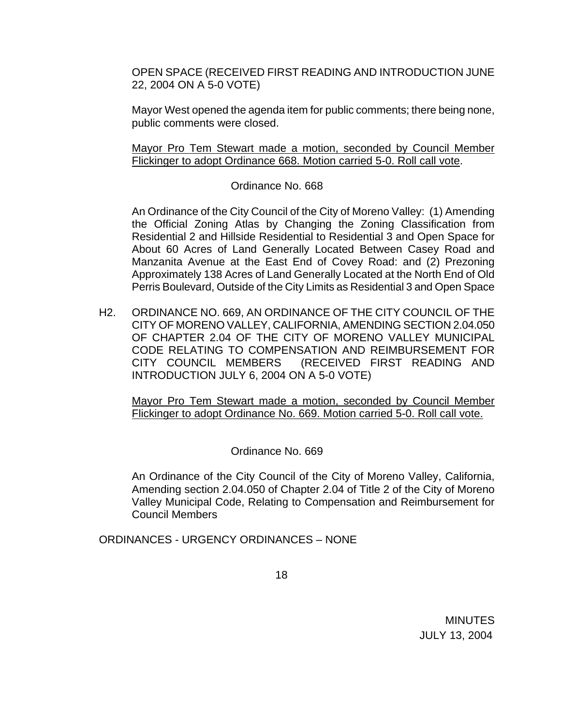OPEN SPACE (RECEIVED FIRST READING AND INTRODUCTION JUNE 22, 2004 ON A 5-0 VOTE)

Mayor West opened the agenda item for public comments; there being none, public comments were closed.

 Mayor Pro Tem Stewart made a motion, seconded by Council Member Flickinger to adopt Ordinance 668. Motion carried 5-0. Roll call vote.

## Ordinance No. 668

 An Ordinance of the City Council of the City of Moreno Valley: (1) Amending the Official Zoning Atlas by Changing the Zoning Classification from Residential 2 and Hillside Residential to Residential 3 and Open Space for About 60 Acres of Land Generally Located Between Casey Road and Manzanita Avenue at the East End of Covey Road: and (2) Prezoning Approximately 138 Acres of Land Generally Located at the North End of Old Perris Boulevard, Outside of the City Limits as Residential 3 and Open Space

H2. ORDINANCE NO. 669, AN ORDINANCE OF THE CITY COUNCIL OF THE CITY OF MORENO VALLEY, CALIFORNIA, AMENDING SECTION 2.04.050 OF CHAPTER 2.04 OF THE CITY OF MORENO VALLEY MUNICIPAL CODE RELATING TO COMPENSATION AND REIMBURSEMENT FOR CITY COUNCIL MEMBERS (RECEIVED FIRST READING AND INTRODUCTION JULY 6, 2004 ON A 5-0 VOTE)

 Mayor Pro Tem Stewart made a motion, seconded by Council Member Flickinger to adopt Ordinance No. 669. Motion carried 5-0. Roll call vote.

## Ordinance No. 669

An Ordinance of the City Council of the City of Moreno Valley, California, Amending section 2.04.050 of Chapter 2.04 of Title 2 of the City of Moreno Valley Municipal Code, Relating to Compensation and Reimbursement for Council Members

ORDINANCES - URGENCY ORDINANCES – NONE

 $18$